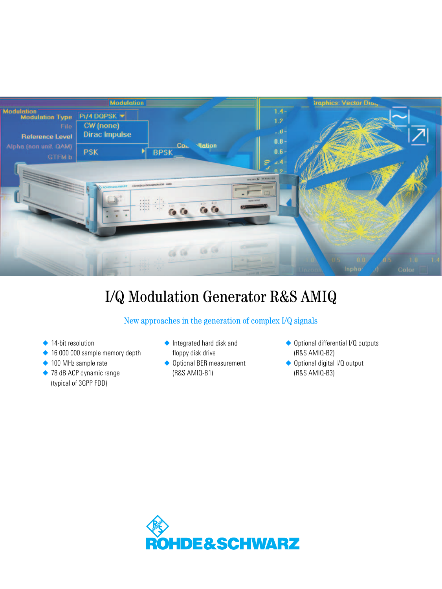

# I/Q Modulation Generator R&S AMIQ

## New approaches in the generation of complex I/Q signals

- ◆ 14-bit resolution
- ◆ 16 000 000 sample memory depth
- ◆ 100 MHz sample rate
- ◆ 78 dB ACP dynamic range (typical of 3GPP FDD)
- ◆ Integrated hard disk and floppy disk drive
- ◆ Optional BER measurement (R&S AMIQ-B1)
- ◆ Optional differential I/Q outputs (R&S AMIQ-B2)
- ◆ Optional digital I/Q output (R&S AMIQ-B3)

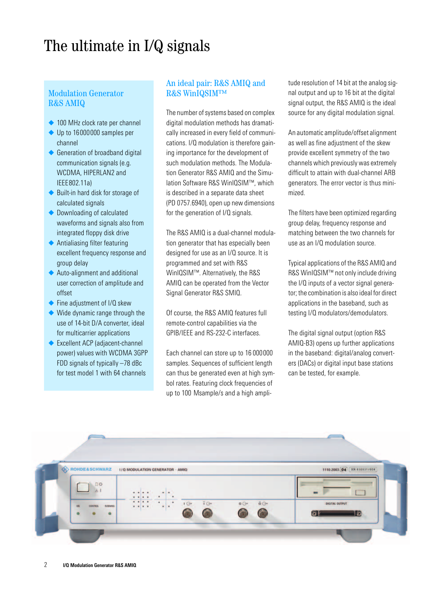## The ultimate in I/Q signals

## Modulation Generator R&S AMIQ

- ◆ 100 MHz clock rate per channel
- ◆ Up to 16000000 samples per channel
- ◆ Generation of broadband digital communication signals (e.g. WCDMA, HIPERLAN2 and IEEE802.11a)
- ◆ Built-in hard disk for storage of calculated signals
- ◆ Downloading of calculated waveforms and signals also from integrated floppy disk drive
- ◆ Antialiasing filter featuring excellent frequency response and group delay
- ◆ Auto-alignment and additional user correction of amplitude and offset
- ◆ Fine adjustment of I/Q skew
- ◆ Wide dynamic range through the use of 14-bit D/A converter, ideal for multicarrier applications
- ◆ Excellent ACP (adiacent-channel) power) values with WCDMA 3GPP FDD signals of typically -78 dBc for test model 1 with 64 channels

## An ideal pair: R&S AMIQ and R&S WinIQSIM™

The number of systems based on complex digital modulation methods has dramatically increased in every field of communications. I/Q modulation is therefore gaining importance for the development of such modulation methods. The Modulation Generator R&S AMIQ and the Simulation Software R&S WinIQSIM™, which is described in a separate data sheet (PD 0757.6940), open up new dimensions for the generation of I/Q signals.

The R&S AMIQ is a dual-channel modulation generator that has especially been designed for use as an I/Q source. It is programmed and set with R&S WinIOSIM™. Alternatively, the R&S AMIQ can be operated from the Vector Signal Generator R&S SMIQ.

Of course, the R&S AMIQ features full remote-control capabilities via the GPIB/IEEE and RS-232-C interfaces.

Each channel can store up to 16 000000 samples. Sequences of sufficient length can thus be generated even at high symbol rates. Featuring clock frequencies of up to 100 Msample/s and a high ampli-

tude resolution of 14 bit at the analog signal output and up to 16 bit at the digital signal output, the R&S AMIQ is the ideal source for any digital modulation signal.

An automatic amplitude/offset alignment as well as fine adjustment of the skew provide excellent symmetry of the two channels which previously was extremely difficult to attain with dual-channel ARB generators. The error vector is thus minimized.

The filters have been optimized regarding group delay, frequency response and matching between the two channels for use as an I/Q modulation source.

Typical applications of the R&S AMIQ and R&S WinIQSIM™ not only include driving the I/Q inputs of a vector signal generator; the combination is also ideal for direct applications in the baseband, such as testing I/Q modulators/demodulators.

The digital signal output (option R&S AMIQ-B3) opens up further applications in the baseband: digital/analog converters (DACs) or digital input base stations can be tested, for example.

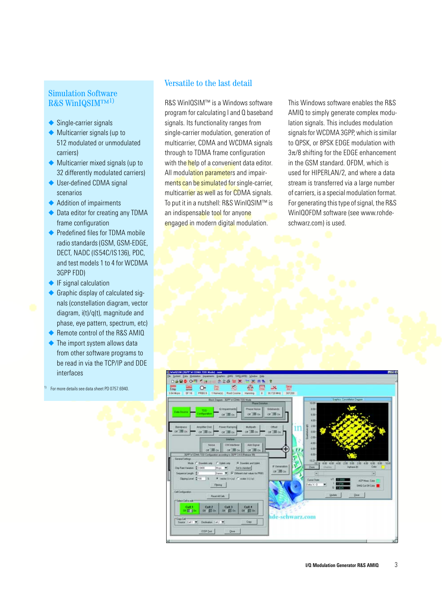## Simulation Software R&S WinIQSIMTM<sup>1)</sup>

- ◆ Single-carrier signals
- ◆ Multicarrier signals (up to 512 modulated or unmodulated carriers)
- ◆ Multicarrier mixed signals (up to 32 differently modulated carriers)
- ◆ User-defined CDMA signal scenarios
- ◆ Addition of impairments
- ◆ Data editor for creating any TDMA frame configuration
- ◆ Predefined files for TDMA mobile radio standards (GSM, GSM-EDGE, DECT, NADC (IS54C/IS136), PDC. and test models 1 to 4 for WCDMA 3GPP FDD)
- ◆ IF signal calculation
- ◆ Graphic display of calculated signals (constellation diagram, vector diagram, i(t)/q(t), magnitude and phase, eye pattern, spectrum, etc)
- Bemote control of the R&S AMIO
- The import system allows data from other software programs to be read in via the TCP/IP and DDE interfaces

1) For more details see data sheet PD 0757.6940.

### Versatile to the last detail

R&S WinIQSIM™ is a Windows software program for calculating I and Q baseband signals. Its functionality ranges from single-carrier modulation, generation of multicarrier, CDMA and WCDMA signals through to TDMA frame configuration with the help of a convenient data editor. All modulation parameters and impairments can be simulated for single-carrier. multicarrier as well as for CDMA signals. To put it in a nutshell: R&S WinIQSIM™ is an indispensable tool for anyone engaged in modern digital modulation.

This Windows software enables the R&S AMIQ to simply generate complex modulation signals. This includes modulation signals for WCDMA 3GPP, which is similar to QPSK, or 8PSK EDGE modulation with  $3\pi/8$  shifting for the EDGE enhancement in the GSM standard. OFDM, which is used for HIPERLAN/2, and where a data stream is transferred via a large number of carriers, is a special modulation format. For generating this type of signal, the R&S WinIQOFDM software (see www.rohdeschwarz.com) is used.

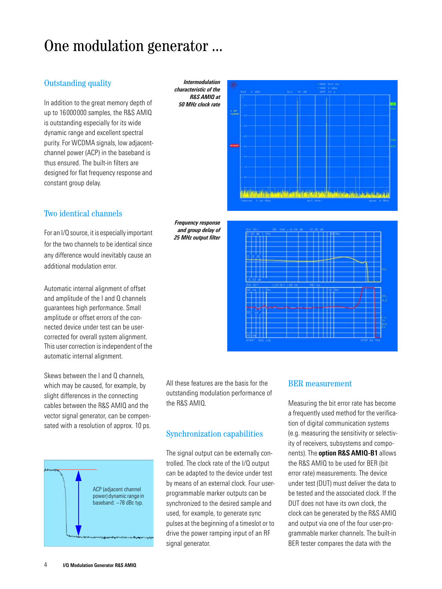## One modulation generator ...

## Outstanding quality

In addition to the great memory depth of up to 16000000 samples, the R&S AMIQ is outstanding especially for its wide dynamic range and excellent spectral purity. For WCDMA signals, low adiacentchannel power (ACP) in the baseband is thus ensured. The built-in filters are designed for flat frequency response and constant group delay.

## Two identical channels

For an I/Q source, it is especially important for the two channels to be identical since any difference would inevitably cause an additional modulation error.

Automatic internal alignment of offset and amplitude of the I and Q channels guarantees high performance. Small amplitude or offset errors of the connected device under test can be usercorrected for overall system alignment. This user correction is independent of the automatic internal alignment.

Skews between the I and Q channels. which may be caused, for example, by slight differences in the connecting cables between the R&S AMIQ and the vector signal generator, can be compensated with a resolution of approx. 10 ps.



*Intermodulation characteristic of the R&S AMIQ at 50 MHz clock rate*





All these features are the basis for the outstanding modulation performance of the R&S AMIQ.

## Synchronization capabilities

The signal output can be externally controlled. The clock rate of the I/Q output can be adapted to the device under test by means of an external clock. Four userprogrammable marker outputs can be synchronized to the desired sample and used, for example, to generate sync pulses at the beginning of a timeslot or to drive the power ramping input of an RF signal generator.

### BER measurement

Measuring the bit error rate has become a frequently used method for the verification of digital communication systems (e.g. measuring the sensitivity or selectivity of receivers, subsystems and components). The **option R&S AMIQ-B1** allows the R&S AMIQ to be used for BER (bit error rate) measurements. The device under test (DUT) must deliver the data to be tested and the associated clock. If the DUT does not have its own clock, the clock can be generated by the R&S AMIQ and output via one of the four user-programmable marker channels. The built-in BER tester compares the data with the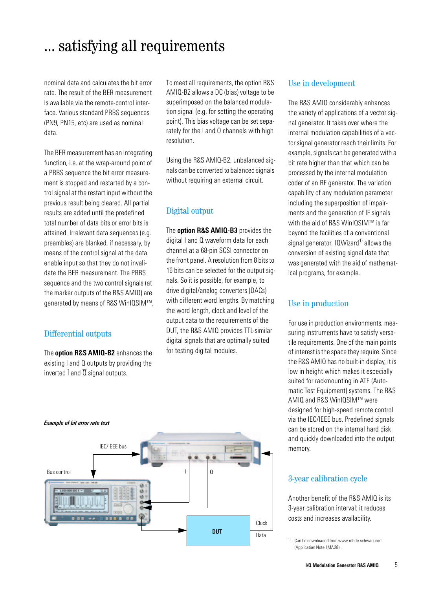## ... satisfying all requirements

nominal data and calculates the bit error rate. The result of the BER measurement is available via the remote-control interface. Various standard PRBS sequences (PN9, PN15, etc) are used as nominal data.

The BER measurement has an integrating function, i.e. at the wrap-around point of a PRBS sequence the bit error measurement is stopped and restarted by a control signal at the restart input without the previous result being cleared. All partial results are added until the predefined total number of data bits or error bits is attained. Irrelevant data sequences (e.g. preambles) are blanked, if necessary, by means of the control signal at the data enable input so that they do not invalidate the BER measurement. The PRBS sequence and the two control signals (at the marker outputs of the R&S AMIQ) are generated by means of R&S WinIQSIM™.

### Differential outputs

The **option R&S AMIQ-B2** enhances the existing I and Q outputs by providing the inverted  $\overline{I}$  and  $\overline{Q}$  signal outputs.

To meet all requirements, the option R&S AMIQ-B2 allows a DC (bias) voltage to be superimposed on the balanced modulation signal (e.g. for setting the operating point). This bias voltage can be set separately for the I and Q channels with high resolution.

Using the R&S AMIQ-B2, unbalanced signals can be converted to balanced signals without requiring an external circuit.

## Digital output

The **option R&S AMIQ-B3** provides the digital I and Q waveform data for each channel at a 68-pin SCSI connector on the front panel. A resolution from 8 bits to 16 bits can be selected for the output signals. So it is possible, for example, to drive digital/analog converters (DACs) with different word lengths. By matching the word length, clock and level of the output data to the requirements of the DUT, the R&S AMIQ provides TTL-similar digital signals that are optimally suited for testing digital modules.

### Use in development

The R&S AMIQ considerably enhances the variety of applications of a vector signal generator. It takes over where the internal modulation capabilities of a vector signal generator reach their limits. For example, signals can be generated with a bit rate higher than that which can be processed by the internal modulation coder of an RF generator. The variation capability of any modulation parameter including the superposition of impairments and the generation of IF signals with the aid of R&S WinIOSIM™ is far beyond the facilities of a conventional signal generator.  $10$ Wizard<sup>1)</sup> allows the conversion of existing signal data that was generated with the aid of mathematical programs, for example.

## Use in production

For use in production environments, measuring instruments have to satisfy versatile requirements. One of the main points of interest is the space they require. Since the R&S AMIQ has no built-in display, it is low in height which makes it especially suited for rackmounting in ATE (Automatic Test Equipment) systems. The R&S AMIQ and R&S WinIQSIM™ were designed for high-speed remote control via the IEC/IEEE bus. Predefined signals can be stored on the internal hard disk and quickly downloaded into the output memory.

## *Example of bit error rate test*



### 3-year calibration cycle

Another benefit of the R&S AMIQ is its 3-year calibration interval: it reduces costs and increases availability.

<sup>1)</sup> Can be downloaded from www.rohde-schwarz.com (Application Note 1MA28).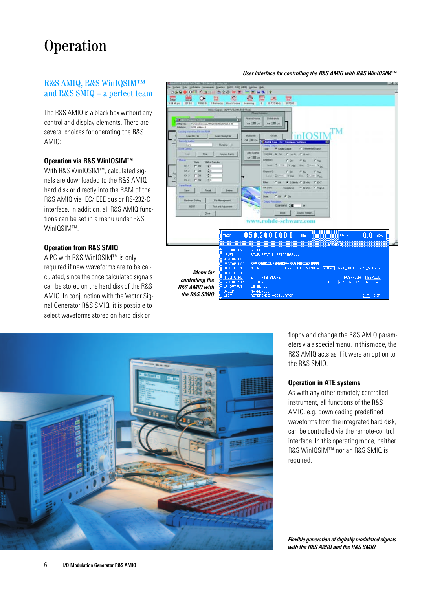## Operation

## R&S AMIQ, R&S WinIQSIMTM and R&S SMIQ – a perfect team

The R&S AMIQ is a black box without any control and display elements. There are several choices for operating the R&S AMIQ:

### **Operation via R&S WinIQSIM™**

With R&S WinIQSIM™, calculated signals are downloaded to the R&S AMIQ hard disk or directly into the RAM of the R&S AMIQ via IEC/IEEE bus or RS-232-C interface. In addition, all R&S AMIQ functions can be set in a menu under R&S WinIQSIM™.

### **Operation from R&S SMIQ**

A PC with R&S WinIQSIM™ is only required if new waveforms are to be calculated, since the once calculated signals can be stored on the hard disk of the R&S AMIQ. In conjunction with the Vector Signal Generator R&S SMIQ, it is possible to select waveforms stored on hard disk or



#### *User interface for controlling the R&S AMIQ with R&S WinIQSIM™*



floppy and change the R&S AMIQ parameters via a special menu. In this mode, the R&S AMIQ acts as if it were an option to the R&S SMIQ.

#### **Operation in ATE systems**

As with any other remotely controlled instrument, all functions of the R&S AMIQ, e.g. downloading predefined waveforms from the integrated hard disk, can be controlled via the remote-control interface. In this operating mode, neither R&S WinIQSIM™ nor an R&S SMIQ is required.

*Flexible generation of digitally modulated signals with the R&S AMIQ and the R&S SMIQ*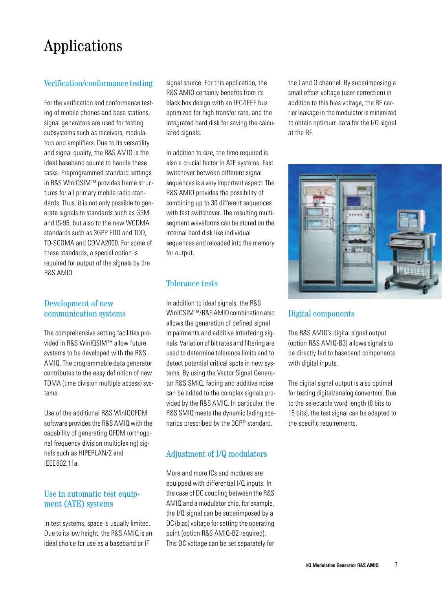# Applications

## Verification/conformance testing

For the verification and conformance testing of mobile phones and base stations, signal generators are used for testing subsystems such as receivers, modulators and amplifiers. Due to its versatility and signal quality, the R&S AMIQ is the ideal baseband source to handle these tasks. Preprogrammed standard settings in R&S WinIQSIM™ provides frame structures for all primary mobile radio standards. Thus, it is not only possible to generate signals to standards such as GSM and IS-95, but also to the new WCDMA standards such as 3GPP FDD and TDD, TD-SCDMA and CDMA2000. For some of these standards, a special option is required for output of the signals by the R&S AMIQ.

## Development of new communication systems

The comprehensive setting facilities provided in R&S WinIQSIM™ allow future systems to be developed with the R&S AMIQ. The programmable data generator contributes to the easy definition of new TDMA (time division multiple access) systems.

Use of the additional R&S WinIQOFDM software provides the R&S AMIQ with the capability of generating OFDM (orthogonal frequency division multiplexing) signals such as HIPERLAN/2 and IEEE802.11a.

## Use in automatic test equipment (ATE) systems

In test systems, space is usually limited. Due to its low height, the R&S AMIQ is an ideal choice for use as a baseband or IF

signal source. For this application, the R&S AMIQ certainly benefits from its black box design with an IEC/IEEE bus optimized for high transfer rate, and the integrated hard disk for saving the calculated signals.

In addition to size, the time required is also a crucial factor in ATE systems. Fast switchover between different signal sequences is a very important aspect. The R&S AMIQ provides the possibility of combining up to 30 different sequences with fast switchover. The resulting multisegment waveforms can be stored on the internal hard disk like individual sequences and reloaded into the memory for output.

## Tolerance tests

In addition to ideal signals, the R&S WinIQSIM™/R&S AMIQ combination also allows the generation of defined signal impairments and additive interfering signals. Variation of bit rates and filtering are used to determine tolerance limits and to detect potential critical spots in new systems. By using the Vector Signal Generator R&S SMIQ, fading and additive noise can be added to the complex signals provided by the R&S AMIQ. In particular, the R&S SMIQ meets the dynamic fading scenarios prescribed by the 3GPP standard.

## Adjustment of I/Q modulators

More and more ICs and modules are equipped with differential I/Q inputs. In the case of DC coupling between the R&S AMIQ and a modulator chip, for example, the I/Q signal can be superimposed by a DC (bias) voltage for setting the operating point (option R&S AMIQ-B2 required). This DC voltage can be set separately for

the I and Q channel. By superimposing a small offset voltage (user correction) in addition to this bias voltage, the RF carrier leakage in the modulator is minimized to obtain optimum data for the I/Q signal at the RF.



## Digital components

The R&S AMIQ's digital signal output (option R&S AMIQ-B3) allows signals to be directly fed to baseband components with digital inputs.

The digital signal output is also optimal for testing digital/analog converters. Due to the selectable word length (8 bits to 16 bits), the test signal can be adapted to the specific requirements.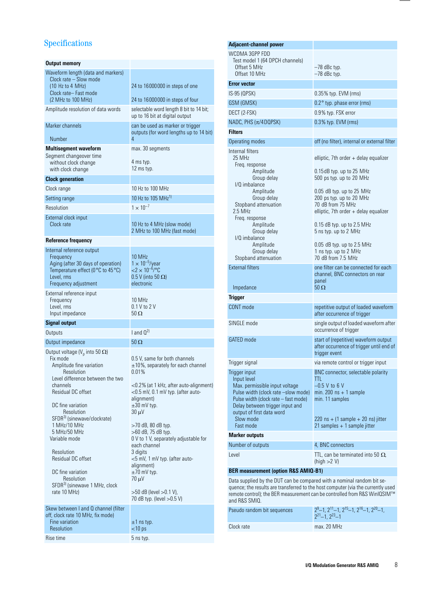## Specifications

| Output memory                                                                                                                                                                                                                                                                                                                                  |                                                                                                                                                                                                                                                                                                                                                                   |  |
|------------------------------------------------------------------------------------------------------------------------------------------------------------------------------------------------------------------------------------------------------------------------------------------------------------------------------------------------|-------------------------------------------------------------------------------------------------------------------------------------------------------------------------------------------------------------------------------------------------------------------------------------------------------------------------------------------------------------------|--|
| Waveform length (data and markers)                                                                                                                                                                                                                                                                                                             |                                                                                                                                                                                                                                                                                                                                                                   |  |
| Clock rate - Slow mode<br>(10 Hz to 4 MHz)                                                                                                                                                                                                                                                                                                     | 24 to 16 000 000 in steps of one                                                                                                                                                                                                                                                                                                                                  |  |
| Clock rate-Fast mode<br>(2 MHz to 100 MHz)                                                                                                                                                                                                                                                                                                     | 24 to 16 000000 in steps of four                                                                                                                                                                                                                                                                                                                                  |  |
| Amplitude resolution of data words                                                                                                                                                                                                                                                                                                             | selectable word length 8 bit to 14 bit;<br>up to 16 bit at digital output                                                                                                                                                                                                                                                                                         |  |
| Marker channels                                                                                                                                                                                                                                                                                                                                | can be used as marker or trigger<br>outputs (for word lengths up to 14 bit)                                                                                                                                                                                                                                                                                       |  |
| Number                                                                                                                                                                                                                                                                                                                                         | 4                                                                                                                                                                                                                                                                                                                                                                 |  |
| <b>Multisegment waveform</b><br>Segment changeover time<br>without clock change<br>with clock change                                                                                                                                                                                                                                           | max. 30 segments<br>4 ms typ.<br>12 ms typ.                                                                                                                                                                                                                                                                                                                       |  |
| <b>Clock generation</b>                                                                                                                                                                                                                                                                                                                        |                                                                                                                                                                                                                                                                                                                                                                   |  |
| Clock range                                                                                                                                                                                                                                                                                                                                    | 10 Hz to 100 MHz                                                                                                                                                                                                                                                                                                                                                  |  |
| Setting range                                                                                                                                                                                                                                                                                                                                  | 10 Hz to 105 MHz <sup>1)</sup>                                                                                                                                                                                                                                                                                                                                    |  |
| <b>Resolution</b>                                                                                                                                                                                                                                                                                                                              | $1 \times 10^{-7}$                                                                                                                                                                                                                                                                                                                                                |  |
| External clock input<br>Clock rate                                                                                                                                                                                                                                                                                                             | 10 Hz to 4 MHz (slow mode)<br>2 MHz to 100 MHz (fast mode)                                                                                                                                                                                                                                                                                                        |  |
| Reference frequency                                                                                                                                                                                                                                                                                                                            |                                                                                                                                                                                                                                                                                                                                                                   |  |
| Internal reference output<br>Frequency<br>Aging (after 30 days of operation)<br>Temperature effect (0°C to 45°C)<br>Level, rms<br>Frequency adjustment                                                                                                                                                                                         | 10 MHz<br>$1 \times 10^{-5}$ /year<br>$<$ 2 $\times$ 10 <sup>-6</sup> /°C<br>$0.5$ V (into 50 $\Omega$ )<br>electronic                                                                                                                                                                                                                                            |  |
| External reference input<br>Frequency<br>Level, rms<br>Input impedance                                                                                                                                                                                                                                                                         | 10 MHz<br>0.1 V to 2 V<br>$50\,\Omega$                                                                                                                                                                                                                                                                                                                            |  |
| <b>Signal output</b>                                                                                                                                                                                                                                                                                                                           |                                                                                                                                                                                                                                                                                                                                                                   |  |
| Outputs                                                                                                                                                                                                                                                                                                                                        | $1$ and $0^{2}$                                                                                                                                                                                                                                                                                                                                                   |  |
|                                                                                                                                                                                                                                                                                                                                                |                                                                                                                                                                                                                                                                                                                                                                   |  |
| Output impedance                                                                                                                                                                                                                                                                                                                               | $50 \Omega$                                                                                                                                                                                                                                                                                                                                                       |  |
| Output voltage ( $Vo$ into 50 $\Omega$ )<br>Fix mode<br>Amplitude fine variation<br>Resolution<br>Level difference between the two<br>channels<br>Residual DC offset<br>DC fine variation<br><b>Resolution</b><br>SFDR <sup>3)</sup> (sinewave/clockrate)<br>1 MHz/10 MHz<br>5 MHz/50 MHz<br>Variable mode<br>Resolution<br>Residual DC offset | 0.5 V, same for both channels<br>$\pm$ 10%, separately for each channel<br>0.01%<br><0.2% (at 1 kHz, after auto-alignment)<br><0.5 mV, 0.1 mV typ. (after auto-<br>alignment)<br>$\pm 30$ mV typ.<br>$30 \mu V$<br>>70 dB, 80 dB typ.<br>>60 dB, 75 dB typ.<br>0 V to 1 V, separately adjustable for<br>each channel<br>3 digits<br><5 mV, 1 mV typ. (after auto- |  |
| DC fine variation<br>Resolution<br>SFDR <sup>3)</sup> (sinewave 1 MHz, clock<br>rate 10 MHz)                                                                                                                                                                                                                                                   | alignment)<br>$\pm 70$ mV typ.<br>$70 \mu V$<br>>50 dB (level >0.1 V),<br>70 dB typ. (level > 0.5 V)                                                                                                                                                                                                                                                              |  |
| Skew between I and Q channel (filter<br>off, clock rate 10 MHz, fix mode)<br>Fine variation<br>Resolution                                                                                                                                                                                                                                      | $\pm 1$ ns typ.<br>$<$ 10 ps                                                                                                                                                                                                                                                                                                                                      |  |

| Adjacent-channel power                                                                                                                                                                                                                                                                                   |                                                                                                                                                                                                                                                                                                                                                                                                             |  |
|----------------------------------------------------------------------------------------------------------------------------------------------------------------------------------------------------------------------------------------------------------------------------------------------------------|-------------------------------------------------------------------------------------------------------------------------------------------------------------------------------------------------------------------------------------------------------------------------------------------------------------------------------------------------------------------------------------------------------------|--|
| WCDMA 3GPP FDD<br>Test model 1 (64 DPCH channels)<br>Offset 5 MHz<br>Offset 10 MHz                                                                                                                                                                                                                       | $-78$ dBc typ.<br>$-78$ dBc typ.                                                                                                                                                                                                                                                                                                                                                                            |  |
| <b>Error vector</b>                                                                                                                                                                                                                                                                                      |                                                                                                                                                                                                                                                                                                                                                                                                             |  |
| IS-95 (QPSK)                                                                                                                                                                                                                                                                                             | 0.35% typ. EVM (rms)                                                                                                                                                                                                                                                                                                                                                                                        |  |
| GSM (GMSK)                                                                                                                                                                                                                                                                                               | $0.2^{\circ}$ typ. phase error (rms)                                                                                                                                                                                                                                                                                                                                                                        |  |
| DECT (2-FSK)                                                                                                                                                                                                                                                                                             | 0.9% typ. FSK error                                                                                                                                                                                                                                                                                                                                                                                         |  |
| NADC, PHS $(\pi/4$ DQPSK)                                                                                                                                                                                                                                                                                | 0.3% typ. EVM (rms)                                                                                                                                                                                                                                                                                                                                                                                         |  |
| <b>Filters</b>                                                                                                                                                                                                                                                                                           |                                                                                                                                                                                                                                                                                                                                                                                                             |  |
| Operating modes                                                                                                                                                                                                                                                                                          | off (no filter), internal or external filter                                                                                                                                                                                                                                                                                                                                                                |  |
| Internal filters<br>25 MHz<br>Freq. response<br>Amplitude<br>Group delay<br>I/Q imbalance<br>Amplitude<br>Group delay<br>Stopband attenuation<br>$2.5$ MHz<br>Freq. response<br>Amplitude<br>Group delay<br>I/Q imbalance<br>Amplitude<br>Group delay<br>Stopband attenuation<br><b>External filters</b> | elliptic, 7th order + delay equalizer<br>$0.15$ dB typ. up to 25 MHz<br>500 ps typ. up to 20 MHz<br>$0.05$ dB typ. up to 25 MHz<br>200 ps typ. up to 20 MHz<br>70 dB from 75 MHz<br>elliptic, 7th order $+$ delay equalizer<br>$0.15$ dB typ. up to 2.5 MHz<br>5 ns typ. up to 2 MHz<br>$0.05$ dB typ. up to 2.5 MHz<br>1 ns typ. up to 2 MHz<br>70 dB from 7.5 MHz<br>one filter can be connected for each |  |
| Impedance                                                                                                                                                                                                                                                                                                | channel, BNC connectors on rear<br>panel<br>$50\,\Omega$                                                                                                                                                                                                                                                                                                                                                    |  |
| <b>Trigger</b>                                                                                                                                                                                                                                                                                           |                                                                                                                                                                                                                                                                                                                                                                                                             |  |
| CONT mode                                                                                                                                                                                                                                                                                                | repetitive output of loaded waveform<br>after occurrence of trigger                                                                                                                                                                                                                                                                                                                                         |  |
| SINGLE mode                                                                                                                                                                                                                                                                                              | single output of loaded waveform after<br>occurrence of trigger                                                                                                                                                                                                                                                                                                                                             |  |
| <b>GATED</b> mode                                                                                                                                                                                                                                                                                        | start of (repetitive) waveform output<br>after occurrence of trigger until end of<br>trigger event                                                                                                                                                                                                                                                                                                          |  |
| Trigger signal                                                                                                                                                                                                                                                                                           | via remote control or trigger input                                                                                                                                                                                                                                                                                                                                                                         |  |
| Trigger input<br>Input level<br>Max. permissible input voltage<br>Pulse width (clock rate -slow mode)<br>Pulse width (clock rate – fast mode)<br>Delay between trigger input and                                                                                                                         | BNC connector, selectable polarity<br>ttl<br>—0.5 V to 6 V<br>min. 200 $ns + 1$ sample<br>min. 11 samples                                                                                                                                                                                                                                                                                                   |  |
| output of first data word<br>Slow mode<br>Fast mode                                                                                                                                                                                                                                                      | 220 ns + (1 sample + 20 ns) jitter<br>21 samples + 1 sample jitter                                                                                                                                                                                                                                                                                                                                          |  |
| <b>Marker outputs</b>                                                                                                                                                                                                                                                                                    |                                                                                                                                                                                                                                                                                                                                                                                                             |  |
| Number of outputs                                                                                                                                                                                                                                                                                        | 4, BNC connectors                                                                                                                                                                                                                                                                                                                                                                                           |  |
| Level                                                                                                                                                                                                                                                                                                    | TTL, can be terminated into 50 $\Omega$ ,<br>(high $>2$ V)                                                                                                                                                                                                                                                                                                                                                  |  |
| <b>BER measurement (option R&amp;S AMIQ-B1)</b>                                                                                                                                                                                                                                                          |                                                                                                                                                                                                                                                                                                                                                                                                             |  |

quence; the results are transferred to the host computer (via the currently used remote control); the BER measurement can be controlled from R&S WinIQSIM™ and R&S SMIQ.

| Pseudo random bit sequences | $\lfloor 2^9 - 1 \rfloor$ , $2^{11} - 1$ , $2^{15} - 1$ , $2^{16} - 1$ , $2^{20} - 1$ ,<br>$2^{21} - 1$ , $2^{23} - 1$ |
|-----------------------------|------------------------------------------------------------------------------------------------------------------------|
| Clock rate                  | max. 20 MHz                                                                                                            |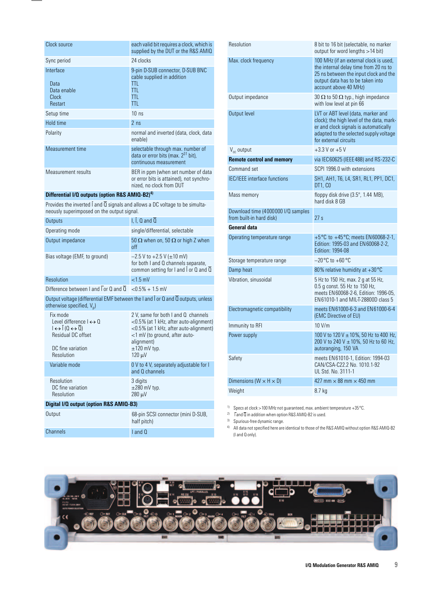| Clock source                                         | each valid bit requires a clock, which is<br>supplied by the DUT or the R&S AMIQ                            |  |
|------------------------------------------------------|-------------------------------------------------------------------------------------------------------------|--|
| Sync period                                          | 24 clocks                                                                                                   |  |
| Interface<br>Data<br>Data enable<br>Clock<br>Restart | 9-pin D-SUB connector, D-SUB BNC<br>cable supplied in addition<br>TTI.<br>TTI.<br>TTI.<br>TTI.              |  |
| Setup time                                           | 10 <sub>ns</sub>                                                                                            |  |
| Hold time                                            | 2 <sub>ns</sub>                                                                                             |  |
| Polarity                                             | normal and inverted (data, clock, data<br>enable)                                                           |  |
| Measurement time                                     | selectable through max. number of<br>data or error bits (max. $2^{31}$ bit),<br>continuous measurement      |  |
| Measurement results                                  | BER in ppm (when set number of data<br>or error bits is attained), not synchro-<br>nized, no clock from DUT |  |

#### **Differential I/Q outputs (option R&S AMIQ-B2)<sup>4)</sup>**

Provides the inverted I and Q signals and allows a DC voltage to be simultaneously superimposed on the output signal.

| Outputs                                                                                                         | l. l. Q and Q                                                                                                           |  |
|-----------------------------------------------------------------------------------------------------------------|-------------------------------------------------------------------------------------------------------------------------|--|
| Operating mode                                                                                                  | single/differential, selectable                                                                                         |  |
| Output impedance                                                                                                | 50 $\Omega$ when on, 50 $\Omega$ or high Z when<br>off                                                                  |  |
| Bias voltage (EMF, to ground)                                                                                   | $-2.5$ V to $+2.5$ V ( $\pm$ 10 mV)<br>for both I and Q channels separate,<br>common setting for I and I or Q and Q     |  |
| Resolution                                                                                                      | $<$ 1.5 mV                                                                                                              |  |
| Difference between I and $\sqrt{2}$ on Q and $\sqrt{2}$ $\leq 0.5\% + 1.5$ mV                                   |                                                                                                                         |  |
| Output voltage (differential EMF between the I and I or Q and Q outputs, unless<br>otherwise specified, $V_p$ ) |                                                                                                                         |  |
| Fix mode<br>Level difference $\rightarrow 0$<br>$\left  \leftrightarrow \right $ $(0 \leftrightarrow 0)$        | 2 V, same for both I and Q channels<br><0.5% (at 1 kHz, after auto-alignment)<br><0.5% (at 1 kHz, after auto-alignment) |  |

| Residual DC offset<br>DC fine variation<br>Resolution | <1 mV (to ground, after auto-<br>alignment)<br>$\pm$ 120 mV typ.<br>120 µV |  |
|-------------------------------------------------------|----------------------------------------------------------------------------|--|
| Variable mode                                         | 0 V to 4 V, separately adjustable for I<br>and Q channels                  |  |
| Resolution<br>DC fine variation<br>Resolution         | 3 digits<br>$\pm 280$ mV typ.<br>$280 \text{ }\mu\text{V}$                 |  |
| Digital I/Q output (option R&S AMIQ-B3)               |                                                                            |  |
| Output                                                | 68-pin SCSI connector (mini D-SUB,<br>half pitch)                          |  |

Channels **I** and Q

| Resolution                                                     | 8 bit to 16 bit (selectable, no marker<br>output for word lengths >14 bit)                                                                                                                  |  |
|----------------------------------------------------------------|---------------------------------------------------------------------------------------------------------------------------------------------------------------------------------------------|--|
| Max. clock frequency                                           | 100 MHz (if an external clock is used,<br>the internal delay time from 20 ns to<br>25 ns between the input clock and the<br>output data has to be taken into<br>account above 40 MHz)       |  |
| Output impedance                                               | 30 $\Omega$ to 50 $\Omega$ typ., high impedance<br>with low level at pin 66                                                                                                                 |  |
| Output level                                                   | LVT or ABT level (data, marker and<br>clock); the high level of the data, mark-<br>er and clock signals is automatically<br>adapted to the selected supply voltage<br>for external circuits |  |
| $V_{cc}$ output                                                | $+3.3$ V or $+5$ V                                                                                                                                                                          |  |
| <b>Remote control and memory</b>                               | via IEC 60625 (IEEE 488) and RS-232-C                                                                                                                                                       |  |
| Command set                                                    | SCPI 1996.0 with extensions                                                                                                                                                                 |  |
| <b>IEC/IEEE</b> interface functions                            | SH1, AH1, T6, L4, SR1, RL1, PP1, DC1,<br>DT1, CO                                                                                                                                            |  |
| Mass memory                                                    | floppy disk drive (3.5", 1.44 MB),<br>hard disk 8 GB                                                                                                                                        |  |
| Download time (4000000 I/Q samples<br>from built-in hard disk) | 27s                                                                                                                                                                                         |  |
| General data                                                   |                                                                                                                                                                                             |  |
| Operating temperature range                                    | +5°C to +45°C; meets EN60068-2-1,<br>Edition: 1995-03 and EN 60068-2-2,<br>Edition: 1994-08                                                                                                 |  |
| Storage temperature range                                      | $-20^{\circ}$ C to $+60^{\circ}$ C                                                                                                                                                          |  |
| Damp heat                                                      | 80% relative humidity at +30°C                                                                                                                                                              |  |
| Vibration, sinusoidal                                          | 5 Hz to 150 Hz, max. 2 g at 55 Hz,<br>0.5 g const. 55 Hz to 150 Hz,<br>meets EN 60068-2-6, Edition: 1996-05,<br>EN61010-1 and MIL-T-28800D class 5                                          |  |
| Electromagnetic compatibility                                  | meets EN 61000-6-3 and EN 61000-6-4<br>(EMC Directive of EU)                                                                                                                                |  |
| Immunity to RFI                                                | $10$ V/m                                                                                                                                                                                    |  |
| Power supply                                                   | 100 V to 120 V ± 10%, 50 Hz to 400 Hz,<br>200 V to 240 V $\pm$ 10%, 50 Hz to 60 Hz,<br>autoranging, 150 VA                                                                                  |  |
| Safety                                                         | meets EN61010-1, Edition: 1994-03<br>CAN/CSA-C22.2 No. 1010.1-92<br>UL Std. No. 3111-1                                                                                                      |  |
| Dimensions (W $\times$ H $\times$ D)                           | 427 mm $\times$ 88 mm $\times$ 450 mm                                                                                                                                                       |  |
| Weight                                                         | 8.7 kg                                                                                                                                                                                      |  |
|                                                                |                                                                                                                                                                                             |  |

<sup>1)</sup> Specs at clock >100 MHz not guaranteed, max. ambient temperature +35 $^{\circ}$ C.

<sup>2)</sup> Tand  $\overline{0}$  in addition when option R&S AMIQ-B2 is used.

3) Spurious-free dynamic range.

4) All data not specified here are identical to those of the R&S AMIQ without option R&S AMIQ-B2 (I and Q only).